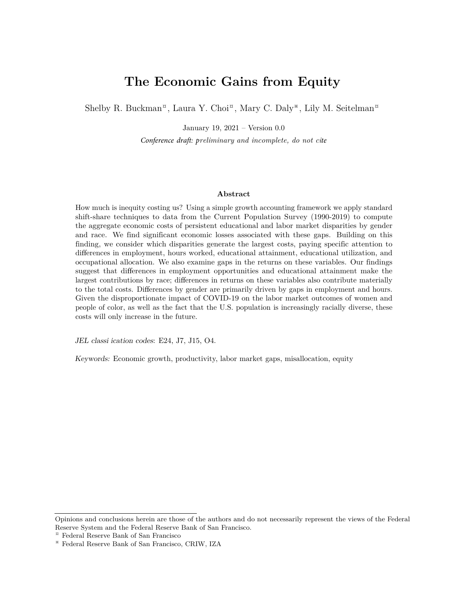# **The Economic Gains from Equity**

<span id="page-0-0"></span>Shelby R. Buckman<sup>¤</sup>, Laura Y. Choi<sup>¤</sup>, Mary C. Daly<sup>\*</sup>, Lily M. Seitelman<sup>¤</sup>

January 19, 2021 – Version 0.0

*Conference draft: preliminary and incomplete, do not cite*

#### **Abstract**

How much is inequity costing us? Using a simple growth accounting framework we apply standard shift-share techniques to data from the Current Population Survey (1990-2019) to compute the aggregate economic costs of persistent educational and labor market disparities by gender and race. We find significant economic losses associated with these gaps. Building on this finding, we consider which disparities generate the largest costs, paying specific attention to differences in employment, hours worked, educational attainment, educational utilization, and occupational allocation. We also examine gaps in the returns on these variables. Our findings suggest that differences in employment opportunities and educational attainment make the largest contributions by race; differences in returns on these variables also contribute materially to the total costs. Differences by gender are primarily driven by gaps in employment and hours. Given the disproportionate impact of COVID-19 on the labor market outcomes of women and people of color, as well as the fact that the U.S. population is increasingly racially diverse, these costs will only increase in the future.

JEL classi ication codes: E24, J7, J15, O4.

Keywords: Economic growth, productivity, labor market gaps, misallocation, equity

Opinions and conclusions herein are those of the authors and do not necessarily represent the views of the Federal Reserve System and the Federal Reserve Bank of San Francisco.

<sup>¤</sup> Federal Reserve Bank of San Francisco

<sup>※</sup> Federal Reserve Bank of San Francisco, CRIW, IZA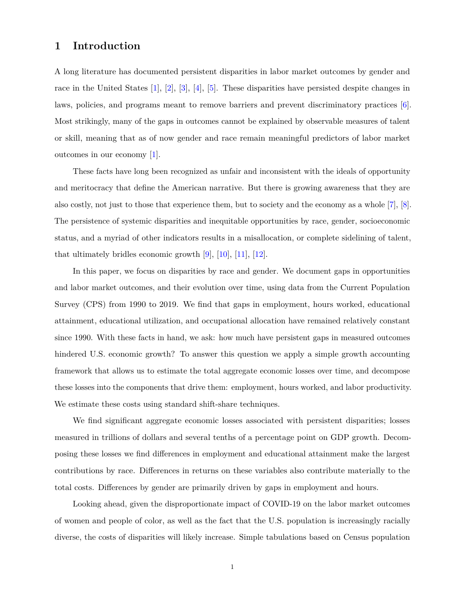## **1 Introduction**

A long literature has documented persistent disparities in labor market outcomes by gender and race in the United States [\[1\]](#page-19-0), [\[2\]](#page-19-1), [\[3\]](#page-19-2), [\[4\]](#page-19-3), [\[5\]](#page-19-4). These disparities have persisted despite changes in laws, policies, and programs meant to remove barriers and prevent discriminatory practices [\[6\]](#page-19-5). Most strikingly, many of the gaps in outcomes cannot be explained by observable measures of talent or skill, meaning that as of now gender and race remain meaningful predictors of labor market outcomes in our economy [\[1\]](#page-19-0).

These facts have long been recognized as unfair and inconsistent with the ideals of opportunity and meritocracy that define the American narrative. But there is growing awareness that they are also costly, not just to those that experience them, but to society and the economy as a whole [\[7\]](#page-19-6), [\[8\]](#page-19-7). The persistence of systemic disparities and inequitable opportunities by race, gender, socioeconomic status, and a myriad of other indicators results in a misallocation, or complete sidelining of talent, that ultimately bridles economic growth [\[9\]](#page-19-8), [\[10\]](#page-19-9), [\[11\]](#page-19-10), [\[12\]](#page-19-11).

In this paper, we focus on disparities by race and gender. We document gaps in opportunities and labor market outcomes, and their evolution over time, using data from the Current Population Survey (CPS) from 1990 to 2019. We find that gaps in employment, hours worked, educational attainment, educational utilization, and occupational allocation have remained relatively constant since 1990. With these facts in hand, we ask: how much have persistent gaps in measured outcomes hindered U.S. economic growth? To answer this question we apply a simple growth accounting framework that allows us to estimate the total aggregate economic losses over time, and decompose these losses into the components that drive them: employment, hours worked, and labor productivity. We estimate these costs using standard shift-share techniques.

We find significant aggregate economic losses associated with persistent disparities; losses measured in trillions of dollars and several tenths of a percentage point on GDP growth. Decomposing these losses we find differences in employment and educational attainment make the largest contributions by race. Differences in returns on these variables also contribute materially to the total costs. Differences by gender are primarily driven by gaps in employment and hours.

Looking ahead, given the disproportionate impact of COVID-19 on the labor market outcomes of women and people of color, as well as the fact that the U.S. population is increasingly racially diverse, the costs of disparities will likely increase. Simple tabulations based on Census population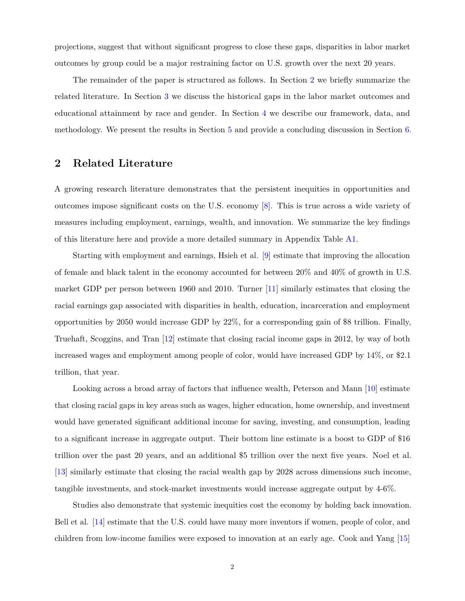projections, suggest that without significant progress to close these gaps, disparities in labor market outcomes by group could be a major restraining factor on U.S. growth over the next 20 years.

The remainder of the paper is structured as follows. In Section [2](#page-2-0) we briefly summarize the related literature. In Section [3](#page-4-0) we discuss the historical gaps in the labor market outcomes and educational attainment by race and gender. In Section [4](#page-7-0) we describe our framework, data, and methodology. We present the results in Section [5](#page-12-0) and provide a concluding discussion in Section [6.](#page-18-0)

## <span id="page-2-0"></span>**2 Related Literature**

A growing research literature demonstrates that the persistent inequities in opportunities and outcomes impose significant costs on the U.S. economy [\[8\]](#page-19-7). This is true across a wide variety of measures including employment, earnings, wealth, and innovation. We summarize the key findings of this literature here and provide a more detailed summary in Appendix Table [A1.](#page-22-0)

Starting with employment and earnings, Hsieh et al. [\[9\]](#page-19-8) estimate that improving the allocation of female and black talent in the economy accounted for between 20% and 40% of growth in U.S. market GDP per person between 1960 and 2010. Turner [\[11\]](#page-19-10) similarly estimates that closing the racial earnings gap associated with disparities in health, education, incarceration and employment opportunities by 2050 would increase GDP by 22%, for a corresponding gain of \$8 trillion. Finally, Truehaft, Scoggins, and Tran [\[12\]](#page-19-11) estimate that closing racial income gaps in 2012, by way of both increased wages and employment among people of color, would have increased GDP by 14%, or \$2.1 trillion, that year.

Looking across a broad array of factors that influence wealth, Peterson and Mann [\[10\]](#page-19-9) estimate that closing racial gaps in key areas such as wages, higher education, home ownership, and investment would have generated significant additional income for saving, investing, and consumption, leading to a significant increase in aggregate output. Their bottom line estimate is a boost to GDP of \$16 trillion over the past 20 years, and an additional \$5 trillion over the next five years. Noel et al. [\[13\]](#page-19-12) similarly estimate that closing the racial wealth gap by 2028 across dimensions such income, tangible investments, and stock-market investments would increase aggregate output by 4-6%.

Studies also demonstrate that systemic inequities cost the economy by holding back innovation. Bell et al. [\[14\]](#page-20-0) estimate that the U.S. could have many more inventors if women, people of color, and children from low-income families were exposed to innovation at an early age. Cook and Yang [\[15\]](#page-20-1)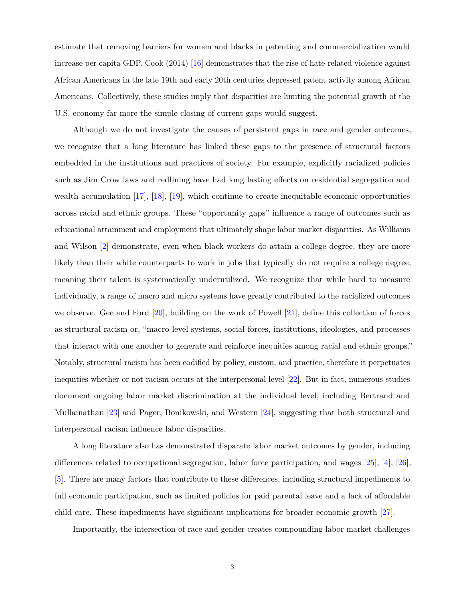estimate that removing barriers for women and blacks in patenting and commercialization would increase per capita GDP. Cook (2014) [\[16\]](#page-20-2) demonstrates that the rise of hate-related violence against African Americans in the late 19th and early 20th centuries depressed patent activity among African Americans. Collectively, these studies imply that disparities are limiting the potential growth of the U.S. economy far more the simple closing of current gaps would suggest.

Although we do not investigate the causes of persistent gaps in race and gender outcomes, we recognize that a long literature has linked these gaps to the presence of structural factors embedded in the institutions and practices of society. For example, explicitly racialized policies such as Jim Crow laws and redlining have had long lasting effects on residential segregation and wealth accumulation [\[17\]](#page-20-3), [\[18\]](#page-20-4), [\[19\]](#page-20-5), which continue to create inequitable economic opportunities across racial and ethnic groups. These "opportunity gaps" influence a range of outcomes such as educational attainment and employment that ultimately shape labor market disparities. As Williams and Wilson [\[2\]](#page-19-1) demonstrate, even when black workers do attain a college degree, they are more likely than their white counterparts to work in jobs that typically do not require a college degree, meaning their talent is systematically underutilized. We recognize that while hard to measure individually, a range of macro and micro systems have greatly contributed to the racialized outcomes we observe. Gee and Ford [\[20\]](#page-20-6), building on the work of Powell [\[21\]](#page-20-7), define this collection of forces as structural racism or, "macro-level systems, social forces, institutions, ideologies, and processes that interact with one another to generate and reinforce inequities among racial and ethnic groups." Notably, structural racism has been codified by policy, custom, and practice, therefore it perpetuates inequities whether or not racism occurs at the interpersonal level [\[22\]](#page-20-8). But in fact, numerous studies document ongoing labor market discrimination at the individual level, including Bertrand and Mullainathan [\[23\]](#page-20-9) and Pager, Bonikowski, and Western [\[24\]](#page-20-10), suggesting that both structural and interpersonal racism influence labor disparities.

A long literature also has demonstrated disparate labor market outcomes by gender, including differences related to occupational segregation, labor force participation, and wages [\[25\]](#page-20-11), [\[4\]](#page-19-3), [\[26\]](#page-20-12), [\[5\]](#page-19-4). There are many factors that contribute to these differences, including structural impediments to full economic participation, such as limited policies for paid parental leave and a lack of affordable child care. These impediments have significant implications for broader economic growth [\[27\]](#page-21-0).

Importantly, the intersection of race and gender creates compounding labor market challenges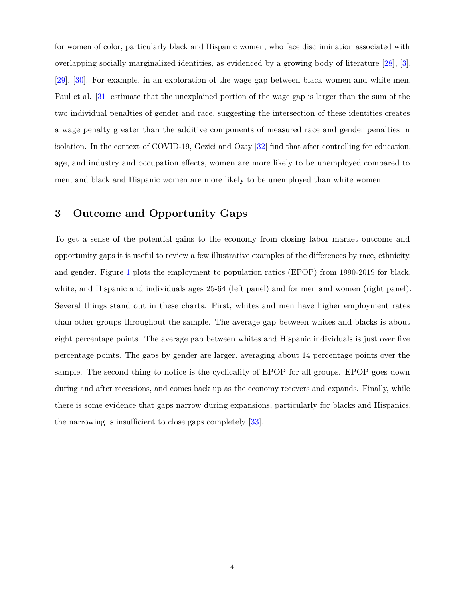for women of color, particularly black and Hispanic women, who face discrimination associated with overlapping socially marginalized identities, as evidenced by a growing body of literature [\[28\]](#page-21-1), [\[3\]](#page-19-2), [\[29\]](#page-21-2), [\[30\]](#page-21-3). For example, in an exploration of the wage gap between black women and white men, Paul et al. [\[31\]](#page-21-4) estimate that the unexplained portion of the wage gap is larger than the sum of the two individual penalties of gender and race, suggesting the intersection of these identities creates a wage penalty greater than the additive components of measured race and gender penalties in isolation. In the context of COVID-19, Gezici and Ozay [\[32\]](#page-21-5) find that after controlling for education, age, and industry and occupation effects, women are more likely to be unemployed compared to men, and black and Hispanic women are more likely to be unemployed than white women.

# <span id="page-4-0"></span>**3 Outcome and Opportunity Gaps**

To get a sense of the potential gains to the economy from closing labor market outcome and opportunity gaps it is useful to review a few illustrative examples of the differences by race, ethnicity, and gender. Figure [1](#page-5-0) plots the employment to population ratios (EPOP) from 1990-2019 for black, white, and Hispanic and individuals ages 25-64 (left panel) and for men and women (right panel). Several things stand out in these charts. First, whites and men have higher employment rates than other groups throughout the sample. The average gap between whites and blacks is about eight percentage points. The average gap between whites and Hispanic individuals is just over five percentage points. The gaps by gender are larger, averaging about 14 percentage points over the sample. The second thing to notice is the cyclicality of EPOP for all groups. EPOP goes down during and after recessions, and comes back up as the economy recovers and expands. Finally, while there is some evidence that gaps narrow during expansions, particularly for blacks and Hispanics, the narrowing is insufficient to close gaps completely [\[33\]](#page-21-6).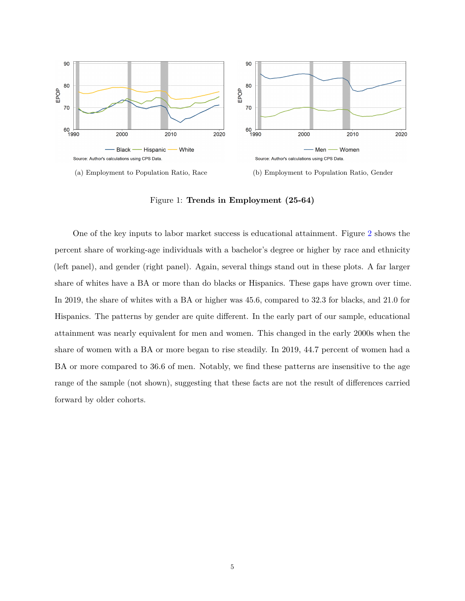<span id="page-5-0"></span>



(a) Employment to Population Ratio, Race (b) Employment to Population Ratio, Gender

Figure 1: **Trends in Employment (25-64)**

One of the key inputs to labor market success is educational attainment. Figure [2](#page-6-0) shows the percent share of working-age individuals with a bachelor's degree or higher by race and ethnicity (left panel), and gender (right panel). Again, several things stand out in these plots. A far larger share of whites have a BA or more than do blacks or Hispanics. These gaps have grown over time. In 2019, the share of whites with a BA or higher was 45.6, compared to 32.3 for blacks, and 21.0 for Hispanics. The patterns by gender are quite different. In the early part of our sample, educational attainment was nearly equivalent for men and women. This changed in the early 2000s when the share of women with a BA or more began to rise steadily. In 2019, 44.7 percent of women had a BA or more compared to 36.6 of men. Notably, we find these patterns are insensitive to the age range of the sample (not shown), suggesting that these facts are not the result of differences carried forward by older cohorts.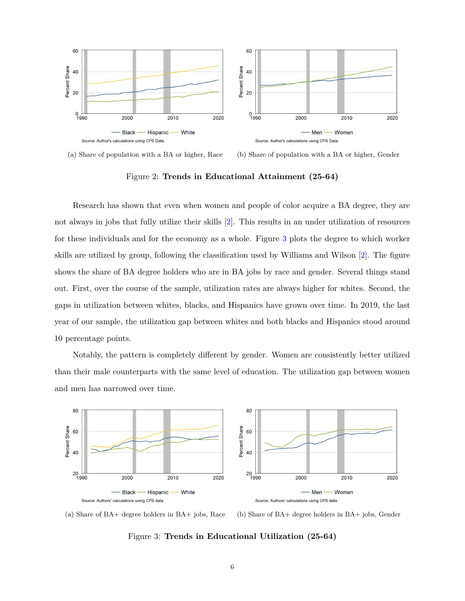<span id="page-6-0"></span>

(a) Share of population with a BA or higher, Race (b) Share of population with a BA or higher, Gender

Figure 2: **Trends in Educational Attainment (25-64)**

Research has shown that even when women and people of color acquire a BA degree, they are not always in jobs that fully utilize their skills [\[2\]](#page-19-1). This results in an under utilization of resources for these individuals and for the economy as a whole. Figure [3](#page-6-1) plots the degree to which worker skills are utilized by group, following the classification used by Williams and Wilson [\[2\]](#page-19-1). The figure shows the share of BA degree holders who are in BA jobs by race and gender. Several things stand out. First, over the course of the sample, utilization rates are always higher for whites. Second, the gaps in utilization between whites, blacks, and Hispanics have grown over time. In 2019, the last year of our sample, the utilization gap between whites and both blacks and Hispanics stood around 10 percentage points.

Notably, the pattern is completely different by gender. Women are consistently better utilized than their male counterparts with the same level of education. The utilization gap between women and men has narrowed over time.

<span id="page-6-1"></span>

(a) Share of BA+ degree holders in BA+ jobs, Race (b) Share of BA+ degree holders in BA+ jobs, Gender

#### Figure 3: **Trends in Educational Utilization (25-64)**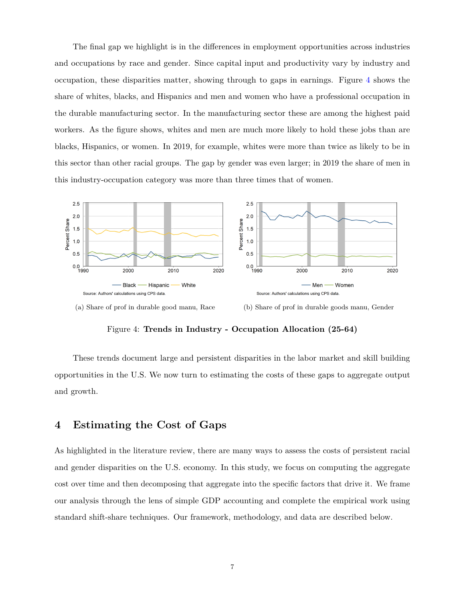The final gap we highlight is in the differences in employment opportunities across industries and occupations by race and gender. Since capital input and productivity vary by industry and occupation, these disparities matter, showing through to gaps in earnings. Figure [4](#page-7-1) shows the share of whites, blacks, and Hispanics and men and women who have a professional occupation in the durable manufacturing sector. In the manufacturing sector these are among the highest paid workers. As the figure shows, whites and men are much more likely to hold these jobs than are blacks, Hispanics, or women. In 2019, for example, whites were more than twice as likely to be in this sector than other racial groups. The gap by gender was even larger; in 2019 the share of men in this industry-occupation category was more than three times that of women.

<span id="page-7-1"></span>

(a) Share of prof in durable good manu, Race (b) Share of prof in durable goods manu, Gender

Figure 4: **Trends in Industry - Occupation Allocation (25-64)**

These trends document large and persistent disparities in the labor market and skill building opportunities in the U.S. We now turn to estimating the costs of these gaps to aggregate output and growth.

# <span id="page-7-0"></span>**4 Estimating the Cost of Gaps**

As highlighted in the literature review, there are many ways to assess the costs of persistent racial and gender disparities on the U.S. economy. In this study, we focus on computing the aggregate cost over time and then decomposing that aggregate into the specific factors that drive it. We frame our analysis through the lens of simple GDP accounting and complete the empirical work using standard shift-share techniques. Our framework, methodology, and data are described below.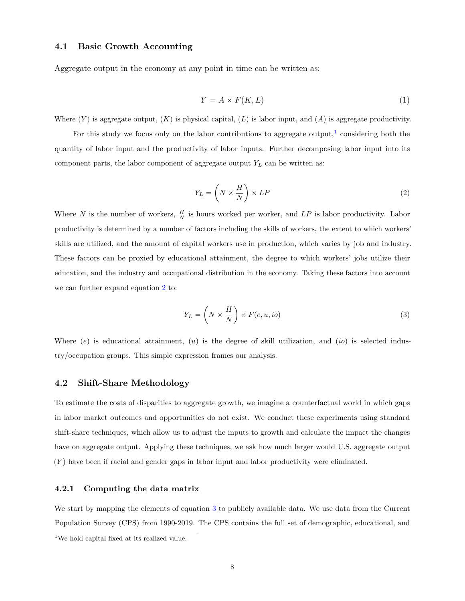## **4.1 Basic Growth Accounting**

Aggregate output in the economy at any point in time can be written as:

$$
Y = A \times F(K, L) \tag{1}
$$

Where  $(Y)$  is aggregate output,  $(K)$  is physical capital,  $(L)$  is labor input, and  $(A)$  is aggregate productivity.

For this study we focus only on the labor contributions to aggregate output,<sup>[1](#page-0-0)</sup> considering both the quantity of labor input and the productivity of labor inputs. Further decomposing labor input into its component parts, the labor component of aggregate output  $Y_L$  can be written as:

<span id="page-8-0"></span>
$$
Y_L = \left(N \times \frac{H}{N}\right) \times LP \tag{2}
$$

Where *N* is the number of workers,  $\frac{H}{N}$  is hours worked per worker, and *LP* is labor productivity. Labor productivity is determined by a number of factors including the skills of workers, the extent to which workers' skills are utilized, and the amount of capital workers use in production, which varies by job and industry. These factors can be proxied by educational attainment, the degree to which workers' jobs utilize their education, and the industry and occupational distribution in the economy. Taking these factors into account we can further expand equation [2](#page-8-0) to:

<span id="page-8-1"></span>
$$
Y_L = \left(N \times \frac{H}{N}\right) \times F(e, u, io) \tag{3}
$$

Where (*e*) is educational attainment, (*u*) is the degree of skill utilization, and (*io*) is selected industry/occupation groups. This simple expression frames our analysis.

#### **4.2 Shift-Share Methodology**

To estimate the costs of disparities to aggregate growth, we imagine a counterfactual world in which gaps in labor market outcomes and opportunities do not exist. We conduct these experiments using standard shift-share techniques, which allow us to adjust the inputs to growth and calculate the impact the changes have on aggregate output. Applying these techniques, we ask how much larger would U.S. aggregate output (*Y* ) have been if racial and gender gaps in labor input and labor productivity were eliminated.

### **4.2.1 Computing the data matrix**

We start by mapping the elements of equation [3](#page-8-1) to publicly available data. We use data from the Current Population Survey (CPS) from 1990-2019. The CPS contains the full set of demographic, educational, and

<sup>&</sup>lt;sup>1</sup>We hold capital fixed at its realized value.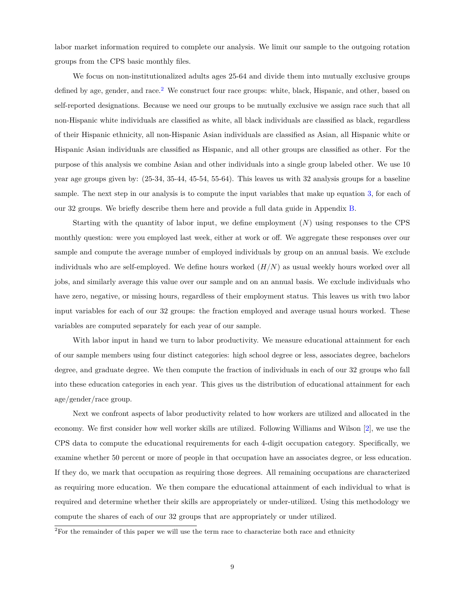labor market information required to complete our analysis. We limit our sample to the outgoing rotation groups from the CPS basic monthly files.

We focus on non-institutionalized adults ages 25-64 and divide them into mutually exclusive groups defined by age, gender, and race.<sup>[2](#page-0-0)</sup> We construct four race groups: white, black, Hispanic, and other, based on self-reported designations. Because we need our groups to be mutually exclusive we assign race such that all non-Hispanic white individuals are classified as white, all black individuals are classified as black, regardless of their Hispanic ethnicity, all non-Hispanic Asian individuals are classified as Asian, all Hispanic white or Hispanic Asian individuals are classified as Hispanic, and all other groups are classified as other. For the purpose of this analysis we combine Asian and other individuals into a single group labeled other. We use 10 year age groups given by: (25-34, 35-44, 45-54, 55-64). This leaves us with 32 analysis groups for a baseline sample. The next step in our analysis is to compute the input variables that make up equation [3,](#page-8-1) for each of our 32 groups. We briefly describe them here and provide a full data guide in Appendix [B.](#page-25-0)

Starting with the quantity of labor input, we define employment (*N*) using responses to the CPS monthly question: were you employed last week, either at work or off. We aggregate these responses over our sample and compute the average number of employed individuals by group on an annual basis. We exclude individuals who are self-employed. We define hours worked  $(H/N)$  as usual weekly hours worked over all jobs, and similarly average this value over our sample and on an annual basis. We exclude individuals who have zero, negative, or missing hours, regardless of their employment status. This leaves us with two labor input variables for each of our 32 groups: the fraction employed and average usual hours worked. These variables are computed separately for each year of our sample.

With labor input in hand we turn to labor productivity. We measure educational attainment for each of our sample members using four distinct categories: high school degree or less, associates degree, bachelors degree, and graduate degree. We then compute the fraction of individuals in each of our 32 groups who fall into these education categories in each year. This gives us the distribution of educational attainment for each age/gender/race group.

Next we confront aspects of labor productivity related to how workers are utilized and allocated in the economy. We first consider how well worker skills are utilized. Following Williams and Wilson [\[2\]](#page-19-1), we use the CPS data to compute the educational requirements for each 4-digit occupation category. Specifically, we examine whether 50 percent or more of people in that occupation have an associates degree, or less education. If they do, we mark that occupation as requiring those degrees. All remaining occupations are characterized as requiring more education. We then compare the educational attainment of each individual to what is required and determine whether their skills are appropriately or under-utilized. Using this methodology we compute the shares of each of our 32 groups that are appropriately or under utilized.

<sup>2</sup>For the remainder of this paper we will use the term race to characterize both race and ethnicity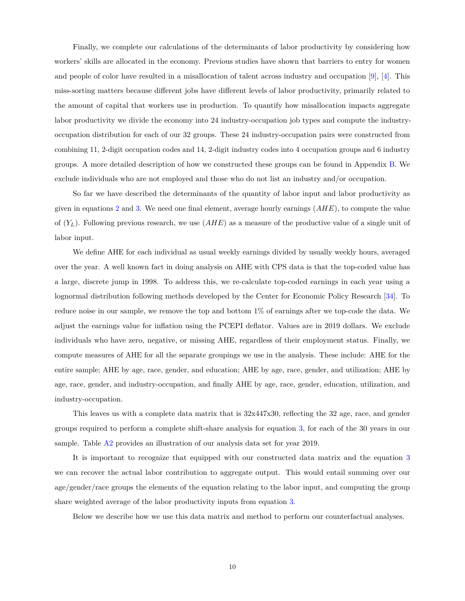Finally, we complete our calculations of the determinants of labor productivity by considering how workers' skills are allocated in the economy. Previous studies have shown that barriers to entry for women and people of color have resulted in a misallocation of talent across industry and occupation [\[9\]](#page-19-8), [\[4\]](#page-19-3). This miss-sorting matters because different jobs have different levels of labor productivity, primarily related to the amount of capital that workers use in production. To quantify how misallocation impacts aggregate labor productivity we divide the economy into 24 industry-occupation job types and compute the industryoccupation distribution for each of our 32 groups. These 24 industry-occupation pairs were constructed from combining 11, 2-digit occupation codes and 14, 2-digit industry codes into 4 occupation groups and 6 industry groups. A more detailed description of how we constructed these groups can be found in Appendix [B.](#page-25-0) We exclude individuals who are not employed and those who do not list an industry and/or occupation.

So far we have described the determinants of the quantity of labor input and labor productivity as given in equations [2](#page-8-0) and [3.](#page-8-1) We need one final element, average hourly earnings (*AHE*), to compute the value of (*YL*). Following previous research, we use (*AHE*) as a measure of the productive value of a single unit of labor input.

We define AHE for each individual as usual weekly earnings divided by usually weekly hours, averaged over the year. A well known fact in doing analysis on AHE with CPS data is that the top-coded value has a large, discrete jump in 1998. To address this, we re-calculate top-coded earnings in each year using a lognormal distribution following methods developed by the Center for Economic Policy Research [\[34\]](#page-21-7). To reduce noise in our sample, we remove the top and bottom 1% of earnings after we top-code the data. We adjust the earnings value for inflation using the PCEPI deflator. Values are in 2019 dollars. We exclude individuals who have zero, negative, or missing AHE, regardless of their employment status. Finally, we compute measures of AHE for all the separate groupings we use in the analysis. These include: AHE for the entire sample; AHE by age, race, gender, and education; AHE by age, race, gender, and utilization; AHE by age, race, gender, and industry-occupation, and finally AHE by age, race, gender, education, utilization, and industry-occupation.

This leaves us with a complete data matrix that is 32x447x30, reflecting the 32 age, race, and gender groups required to perform a complete shift-share analysis for equation [3,](#page-8-1) for each of the 30 years in our sample. Table [A2](#page-25-1) provides an illustration of our analysis data set for year 2019.

It is important to recognize that equipped with our constructed data matrix and the equation [3](#page-8-1) we can recover the actual labor contribution to aggregate output. This would entail summing over our age/gender/race groups the elements of the equation relating to the labor input, and computing the group share weighted average of the labor productivity inputs from equation [3.](#page-8-1)

Below we describe how we use this data matrix and method to perform our counterfactual analyses.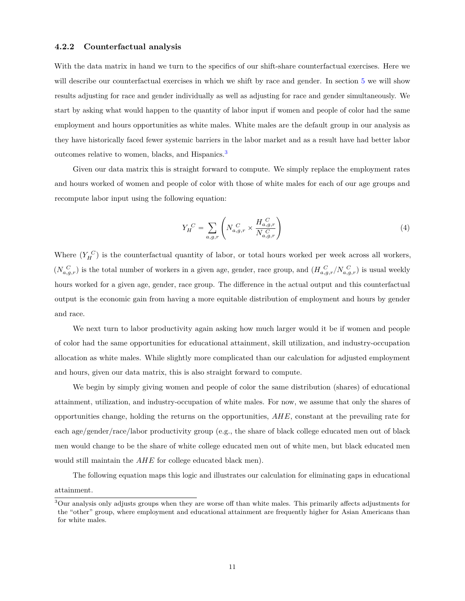#### **4.2.2 Counterfactual analysis**

With the data matrix in hand we turn to the specifics of our shift-share counterfactual exercises. Here we will describe our counterfactual exercises in which we shift by race and gender. In section [5](#page-12-0) we will show results adjusting for race and gender individually as well as adjusting for race and gender simultaneously. We start by asking what would happen to the quantity of labor input if women and people of color had the same employment and hours opportunities as white males. White males are the default group in our analysis as they have historically faced fewer systemic barriers in the labor market and as a result have had better labor outcomes relative to women, blacks, and Hispanics.[3](#page-0-0)

Given our data matrix this is straight forward to compute. We simply replace the employment rates and hours worked of women and people of color with those of white males for each of our age groups and recompute labor input using the following equation:

$$
Y_H^C = \sum_{a,g,r} \left( N_{a,g,r}^C \times \frac{H_{a,g,r}^C}{N_{a,g,r}} \right) \tag{4}
$$

Where  $(Y_H^C)$  is the counterfactual quantity of labor, or total hours worked per week across all workers,  $(N_{a,g,r}^C)$  is the total number of workers in a given age, gender, race group, and  $(H_{a,g,r}^C/N_{a,g,r}^C)$  is usual weekly hours worked for a given age, gender, race group. The difference in the actual output and this counterfactual output is the economic gain from having a more equitable distribution of employment and hours by gender and race.

We next turn to labor productivity again asking how much larger would it be if women and people of color had the same opportunities for educational attainment, skill utilization, and industry-occupation allocation as white males. While slightly more complicated than our calculation for adjusted employment and hours, given our data matrix, this is also straight forward to compute.

We begin by simply giving women and people of color the same distribution (shares) of educational attainment, utilization, and industry-occupation of white males. For now, we assume that only the shares of opportunities change, holding the returns on the opportunities, *AHE*, constant at the prevailing rate for each age/gender/race/labor productivity group (e.g., the share of black college educated men out of black men would change to be the share of white college educated men out of white men, but black educated men would still maintain the *AHE* for college educated black men).

The following equation maps this logic and illustrates our calculation for eliminating gaps in educational attainment.

<sup>3</sup>Our analysis only adjusts groups when they are worse off than white males. This primarily affects adjustments for the "other" group, where employment and educational attainment are frequently higher for Asian Americans than for white males.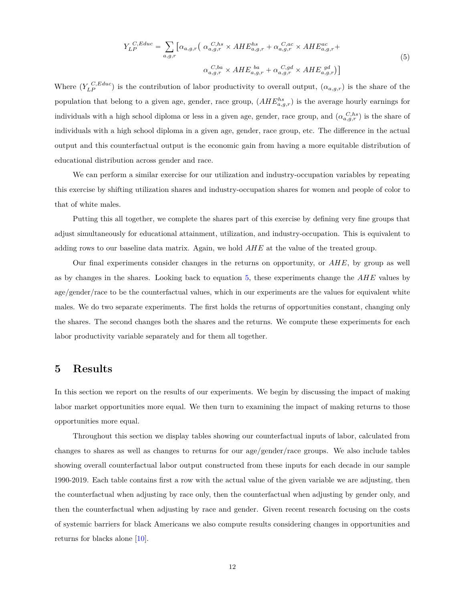$$
Y_{LP}^{C, Educ} = \sum_{a,g,r} \left[ \alpha_{a,g,r} \left( \alpha_{a,g,r}^{C,hs} \times AHE_{a,g,r}^{hs} + \alpha_{a,g,r}^{C,ac} \times AHE_{a,g,r}^{ac} + \alpha_{a,g,r}^{C,ba} \times AHE_{a,g,r}^{ba} \times AHE_{a,g,r}^{bd} \times AHE_{a,g,r}^{bd} \right) \right]
$$
\n
$$
(5)
$$

<span id="page-12-1"></span>Where  $(Y_{LP}^{C, Educ})$  is the contribution of labor productivity to overall output,  $(\alpha_{a,g,r})$  is the share of the population that belong to a given age, gender, race group,  $(AHE^{hs}_{a,g,r})$  is the average hourly earnings for individuals with a high school diploma or less in a given age, gender, race group, and  $(\alpha_{a,g,r}^{C,hs})$  is the share of individuals with a high school diploma in a given age, gender, race group, etc. The difference in the actual output and this counterfactual output is the economic gain from having a more equitable distribution of educational distribution across gender and race.

We can perform a similar exercise for our utilization and industry-occupation variables by repeating this exercise by shifting utilization shares and industry-occupation shares for women and people of color to that of white males.

Putting this all together, we complete the shares part of this exercise by defining very fine groups that adjust simultaneously for educational attainment, utilization, and industry-occupation. This is equivalent to adding rows to our baseline data matrix. Again, we hold *AHE* at the value of the treated group.

Our final experiments consider changes in the returns on opportunity, or *AHE*, by group as well as by changes in the shares. Looking back to equation [5,](#page-12-1) these experiments change the *AHE* values by age/gender/race to be the counterfactual values, which in our experiments are the values for equivalent white males. We do two separate experiments. The first holds the returns of opportunities constant, changing only the shares. The second changes both the shares and the returns. We compute these experiments for each labor productivity variable separately and for them all together.

# <span id="page-12-0"></span>**5 Results**

In this section we report on the results of our experiments. We begin by discussing the impact of making labor market opportunities more equal. We then turn to examining the impact of making returns to those opportunities more equal.

Throughout this section we display tables showing our counterfactual inputs of labor, calculated from changes to shares as well as changes to returns for our age/gender/race groups. We also include tables showing overall counterfactual labor output constructed from these inputs for each decade in our sample 1990-2019. Each table contains first a row with the actual value of the given variable we are adjusting, then the counterfactual when adjusting by race only, then the counterfactual when adjusting by gender only, and then the counterfactual when adjusting by race and gender. Given recent research focusing on the costs of systemic barriers for black Americans we also compute results considering changes in opportunities and returns for blacks alone [\[10\]](#page-19-9).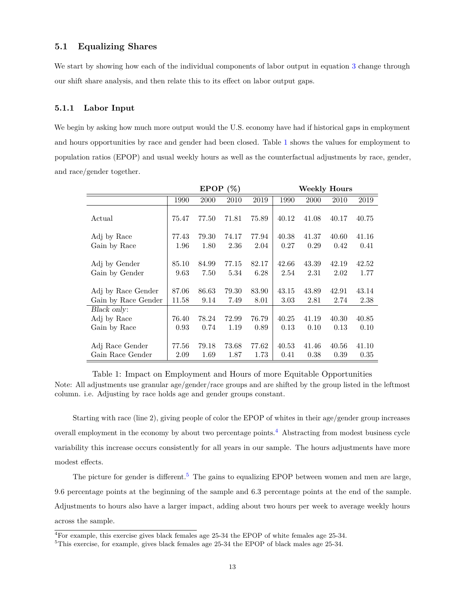## **5.1 Equalizing Shares**

We start by showing how each of the individual components of labor output in equation [3](#page-8-1) change through our shift share analysis, and then relate this to its effect on labor output gaps.

#### **5.1.1 Labor Input**

We begin by asking how much more output would the U.S. economy have had if historical gaps in employment and hours opportunities by race and gender had been closed. Table [1](#page-13-0) shows the values for employment to population ratios (EPOP) and usual weekly hours as well as the counterfactual adjustments by race, gender, and race/gender together.

<span id="page-13-0"></span>

|                                 |               | <b>EPOP</b>   | (%)           |               |               | <b>Weekly Hours</b> |               |               |
|---------------------------------|---------------|---------------|---------------|---------------|---------------|---------------------|---------------|---------------|
|                                 | 1990          | 2000          | 2010          | 2019          | 1990          | 2000                | 2010          | 2019          |
| Actual                          | 75.47         | 77.50         | 71.81         | 75.89         | 40.12         | 41.08               | 40.17         | 40.75         |
| Adj by Race                     | 77.43         | 79.30         | 74.17         | 77.94         | 40.38         | 41.37               | 40.60         | 41.16         |
| Gain by Race                    | 1.96          | 1.80          | 2.36          | 2.04          | 0.27          | 0.29                | 0.42          | 0.41          |
| Adj by Gender<br>Gain by Gender | 85.10<br>9.63 | 84.99<br>7.50 | 77.15<br>5.34 | 82.17<br>6.28 | 42.66<br>2.54 | 43.39<br>2.31       | 42.19<br>2.02 | 42.52<br>1.77 |
| Adj by Race Gender              | 87.06         | 86.63         | 79.30         | 83.90         | 43.15         | 43.89               | 42.91         | 43.14         |
| Gain by Race Gender             | 11.58         | 9.14          | 7.49          | 8.01          | 3.03          | 2.81                | 2.74          | 2.38          |
| Black only:                     |               |               |               |               |               |                     |               |               |
| Adj by Race                     | 76.40         | 78.24         | 72.99         | 76.79         | 40.25         | 41.19               | 40.30         | 40.85         |
| Gain by Race                    | 0.93          | 0.74          | 1.19          | 0.89          | 0.13          | 0.10                | 0.13          | 0.10          |
|                                 |               |               |               |               |               |                     |               |               |
| Adj Race Gender                 | 77.56         | 79.18         | 73.68         | 77.62         | 40.53         | 41.46               | 40.56         | 41.10         |
| Gain Race Gender                | 2.09          | 1.69          | 1.87          | 1.73          | 0.41          | 0.38                | 0.39          | 0.35          |

Table 1: Impact on Employment and Hours of more Equitable Opportunities Note: All adjustments use granular age/gender/race groups and are shifted by the group listed in the leftmost column. i.e. Adjusting by race holds age and gender groups constant.

Starting with race (line 2), giving people of color the EPOP of whites in their age/gender group increases overall employment in the economy by about two percentage points.<sup>[4](#page-0-0)</sup> Abstracting from modest business cycle variability this increase occurs consistently for all years in our sample. The hours adjustments have more modest effects.

The picture for gender is different.<sup>[5](#page-0-0)</sup> The gains to equalizing EPOP between women and men are large, 9.6 percentage points at the beginning of the sample and 6.3 percentage points at the end of the sample. Adjustments to hours also have a larger impact, adding about two hours per week to average weekly hours across the sample.

<sup>4</sup>For example, this exercise gives black females age 25-34 the EPOP of white females age 25-34.

<sup>5</sup>This exercise, for example, gives black females age 25-34 the EPOP of black males age 25-34.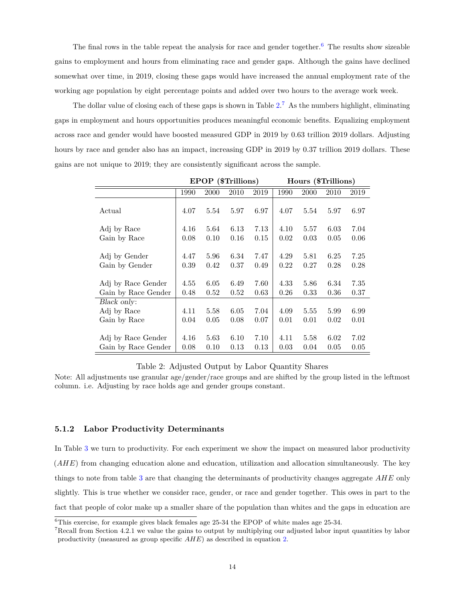The final rows in the table repeat the analysis for race and gender together.<sup>[6](#page-0-0)</sup> The results show sizeable gains to employment and hours from eliminating race and gender gaps. Although the gains have declined somewhat over time, in 2019, closing these gaps would have increased the annual employment rate of the working age population by eight percentage points and added over two hours to the average work week.

The dollar value of closing each of these gaps is shown in Table  $2^7$  $2^7$ . As the numbers highlight, eliminating gaps in employment and hours opportunities produces meaningful economic benefits. Equalizing employment across race and gender would have boosted measured GDP in 2019 by 0.63 trillion 2019 dollars. Adjusting hours by race and gender also has an impact, increasing GDP in 2019 by 0.37 trillion 2019 dollars. These gains are not unique to 2019; they are consistently significant across the sample.

<span id="page-14-0"></span>

|                                 |              | <b>EPOP</b>  | (\$Trillions) |              |              | Hours (\$Trillions) |              |              |
|---------------------------------|--------------|--------------|---------------|--------------|--------------|---------------------|--------------|--------------|
|                                 | 1990         | 2000         | 2010          | 2019         | 1990         | 2000                | 2010         | 2019         |
| Actual                          | 4.07         | 5.54         | 5.97          | 6.97         | 4.07         | 5.54                | 5.97         | 6.97         |
| Adj by Race                     | 4.16         | 5.64         | 6.13          | 7.13         | 4.10         | 5.57                | 6.03         | 7.04         |
| Gain by Race                    | 0.08         | 0.10         | 0.16          | 0.15         | 0.02         | 0.03                | 0.05         | 0.06         |
| Adj by Gender<br>Gain by Gender | 4.47<br>0.39 | 5.96<br>0.42 | 6.34<br>0.37  | 7.47<br>0.49 | 4.29<br>0.22 | 5.81<br>0.27        | 6.25<br>0.28 | 7.25<br>0.28 |
| Adj by Race Gender              | 4.55         | 6.05         | 6.49          | 7.60         | 4.33         | 5.86                | 6.34         | 7.35         |
| Gain by Race Gender             | 0.48         | 0.52         | 0.52          | 0.63         | 0.26         | 0.33                | 0.36         | 0.37         |
| Black only:                     |              |              |               |              |              |                     |              |              |
| Adj by Race                     | 4.11         | 5.58         | 6.05          | 7.04         | 4.09         | 5.55                | 5.99         | 6.99         |
| Gain by Race                    | 0.04         | 0.05         | 0.08          | 0.07         | 0.01         | 0.01                | 0.02         | 0.01         |
|                                 |              |              |               |              |              |                     |              |              |
| Adj by Race Gender              | 4.16         | 5.63         | 6.10          | 7.10         | 4.11         | 5.58                | 6.02         | 7.02         |
| Gain by Race Gender             | 0.08         | 0.10         | 0.13          | 0.13         | 0.03         | 0.04                | 0.05         | 0.05         |

### Table 2: Adjusted Output by Labor Quantity Shares

Note: All adjustments use granular age/gender/race groups and are shifted by the group listed in the leftmost column. i.e. Adjusting by race holds age and gender groups constant.

#### **5.1.2 Labor Productivity Determinants**

In Table [3](#page-15-0) we turn to productivity. For each experiment we show the impact on measured labor productivity (*AHE*) from changing education alone and education, utilization and allocation simultaneously. The key things to note from table [3](#page-15-0) are that changing the determinants of productivity changes aggregate *AHE* only slightly. This is true whether we consider race, gender, or race and gender together. This owes in part to the fact that people of color make up a smaller share of the population than whites and the gaps in education are

<sup>6</sup>This exercise, for example gives black females age 25-34 the EPOP of white males age 25-34.

<sup>&</sup>lt;sup>7</sup>Recall from Section 4.2.1 we value the gains to output by multiplying our adjusted labor input quantities by labor productivity (measured as group specific *AHE*) as described in equation [2.](#page-8-0)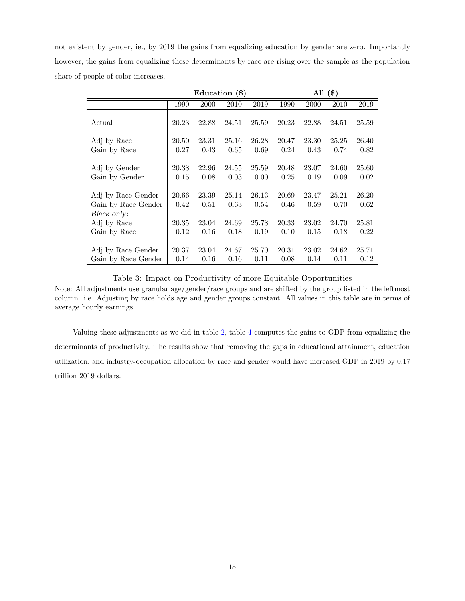not existent by gender, ie., by 2019 the gains from equalizing education by gender are zero. Importantly however, the gains from equalizing these determinants by race are rising over the sample as the population share of people of color increases.

<span id="page-15-0"></span>

|                                           |               |               | Education $(\$)$ |               |               |               | All $(\$)$    |               |
|-------------------------------------------|---------------|---------------|------------------|---------------|---------------|---------------|---------------|---------------|
|                                           | 1990          | 2000          | 2010             | 2019          | 1990          | 2000          | 2010          | 2019          |
| Actual                                    | 20.23         | 22.88         | 24.51            | 25.59         | 20.23         | 22.88         | 24.51         | 25.59         |
| Adj by Race                               | 20.50         | 23.31         | 25.16            | 26.28         | 20.47         | 23.30         | 25.25         | 26.40         |
| Gain by Race                              | 0.27          | 0.43          | 0.65             | 0.69          | 0.24          | 0.43          | 0.74          | 0.82          |
| Adj by Gender<br>Gain by Gender           | 20.38<br>0.15 | 22.96<br>0.08 | 24.55<br>0.03    | 25.59<br>0.00 | 20.48<br>0.25 | 23.07<br>0.19 | 24.60<br>0.09 | 25.60<br>0.02 |
| Adj by Race Gender                        | 20.66         | 23.39         | 25.14            | 26.13         | 20.69         | 23.47         | 25.21         | 26.20         |
| Gain by Race Gender                       | 0.42          | 0.51          | 0.63             | 0.54          | 0.46          | 0.59          | 0.70          | 0.62          |
| Black only:                               |               |               |                  |               |               |               |               |               |
| Adj by Race                               | 20.35         | 23.04         | 24.69            | 25.78         | 20.33         | 23.02         | 24.70         | 25.81         |
| Gain by Race                              | 0.12          | 0.16          | 0.18             | 0.19          | 0.10          | 0.15          | 0.18          | 0.22          |
| Adj by Race Gender<br>Gain by Race Gender | 20.37<br>0.14 | 23.04<br>0.16 | 24.67<br>0.16    | 25.70<br>0.11 | 20.31<br>0.08 | 23.02<br>0.14 | 24.62<br>0.11 | 25.71<br>0.12 |

Table 3: Impact on Productivity of more Equitable Opportunities

Note: All adjustments use granular age/gender/race groups and are shifted by the group listed in the leftmost column. i.e. Adjusting by race holds age and gender groups constant. All values in this table are in terms of average hourly earnings.

Valuing these adjustments as we did in table [2,](#page-14-0) table [4](#page-16-0) computes the gains to GDP from equalizing the determinants of productivity. The results show that removing the gaps in educational attainment, education utilization, and industry-occupation allocation by race and gender would have increased GDP in 2019 by 0.17 trillion 2019 dollars.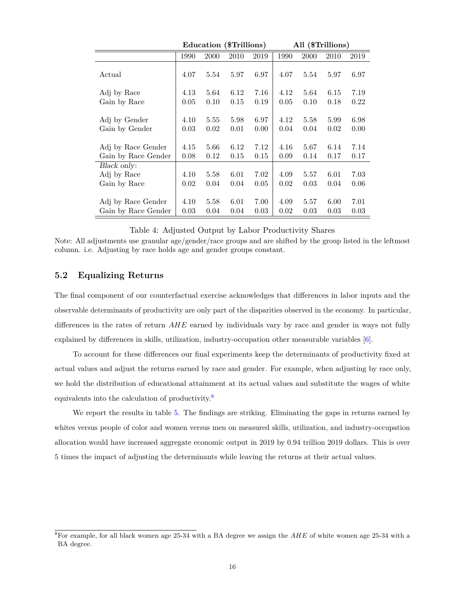<span id="page-16-0"></span>

|                                 |              | Education (\$Trillions) |              |              |              | All (\$Trillions) |              |              |
|---------------------------------|--------------|-------------------------|--------------|--------------|--------------|-------------------|--------------|--------------|
|                                 | 1990         | 2000                    | 2010         | 2019         | 1990         | 2000              | 2010         | 2019         |
| Actual                          | 4.07         | 5.54                    | 5.97         | 6.97         | 4.07         | 5.54              | 5.97         | 6.97         |
| Adj by Race                     | 4.13         | 5.64                    | 6.12         | 7.16         | 4.12         | 5.64              | 6.15         | 7.19         |
| Gain by Race                    | 0.05         | 0.10                    | 0.15         | 0.19         | 0.05         | 0.10              | 0.18         | 0.22         |
| Adj by Gender<br>Gain by Gender | 4.10<br>0.03 | 5.55<br>0.02            | 5.98<br>0.01 | 6.97<br>0.00 | 4.12<br>0.04 | 5.58<br>0.04      | 5.99<br>0.02 | 6.98<br>0.00 |
| Adj by Race Gender              | 4.15         | 5.66                    | 6.12         | 7.12         | 4.16         | 5.67              | 6.14         | 7.14         |
| Gain by Race Gender             | 0.08         | 0.12                    | 0.15         | 0.15         | 0.09         | 0.14              | 0.17         | 0.17         |
| Black only:                     |              |                         |              |              |              |                   |              |              |
| Adj by Race                     | 4.10         | 5.58                    | 6.01         | 7.02         | 4.09         | 5.57              | 6.01         | 7.03         |
| Gain by Race                    | 0.02         | 0.04                    | 0.04         | 0.05         | 0.02         | 0.03              | 0.04         | 0.06         |
| Adj by Race Gender              | 4.10         | 5.58                    | 6.01         | 7.00         | 4.09         | 5.57              | 6.00         | 7.01         |
| Gain by Race Gender             | 0.03         | 0.04                    | 0.04         | 0.03         | 0.02         | 0.03              | 0.03         | 0.03         |

Table 4: Adjusted Output by Labor Productivity Shares

Note: All adjustments use granular age/gender/race groups and are shifted by the group listed in the leftmost column. i.e. Adjusting by race holds age and gender groups constant.

## **5.2 Equalizing Returns**

The final component of our counterfactual exercise acknowledges that differences in labor inputs and the observable determinants of productivity are only part of the disparities observed in the economy. In particular, differences in the rates of return *AHE* earned by individuals vary by race and gender in ways not fully explained by differences in skills, utilization, industry-occupation other measurable variables [\[6\]](#page-19-5).

To account for these differences our final experiments keep the determinants of productivity fixed at actual values and adjust the returns earned by race and gender. For example, when adjusting by race only, we hold the distribution of educational attainment at its actual values and substitute the wages of white equivalents into the calculation of productivity.[8](#page-0-0)

We report the results in table [5.](#page-17-0) The findings are striking. Eliminating the gaps in returns earned by whites versus people of color and women versus men on measured skills, utilization, and industry-occupation allocation would have increased aggregate economic output in 2019 by 0.94 trillion 2019 dollars. This is over 5 times the impact of adjusting the determinants while leaving the returns at their actual values.

<sup>8</sup>For example, for all black women age 25-34 with a BA degree we assign the *AHE* of white women age 25-34 with a BA degree.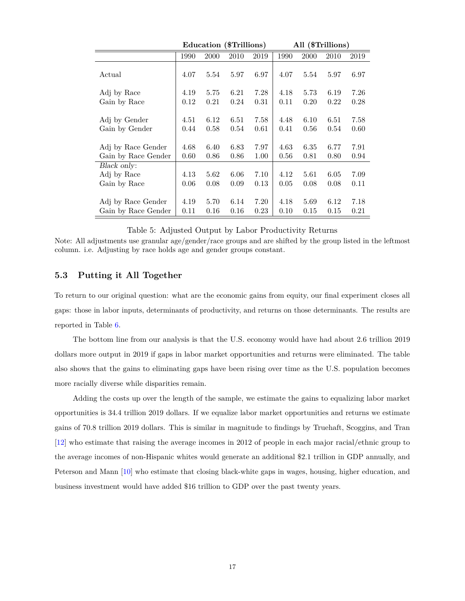<span id="page-17-0"></span>

|                                 |              | Education (\$Trillions) |              |              |              | All (\$Trillions) |              |              |
|---------------------------------|--------------|-------------------------|--------------|--------------|--------------|-------------------|--------------|--------------|
|                                 | 1990         | 2000                    | 2010         | 2019         | 1990         | 2000              | 2010         | 2019         |
| Actual                          | 4.07         | 5.54                    | 5.97         | 6.97         | 4.07         | 5.54              | 5.97         | 6.97         |
| Adj by Race                     | 4.19         | 5.75                    | 6.21         | 7.28         | 4.18         | 5.73              | 6.19         | 7.26         |
| Gain by Race                    | 0.12         | 0.21                    | 0.24         | 0.31         | 0.11         | 0.20              | 0.22         | 0.28         |
| Adj by Gender<br>Gain by Gender | 4.51<br>0.44 | 6.12<br>0.58            | 6.51<br>0.54 | 7.58<br>0.61 | 4.48<br>0.41 | 6.10<br>0.56      | 6.51<br>0.54 | 7.58<br>0.60 |
| Adj by Race Gender              | 4.68         | 6.40                    | 6.83         | 7.97         | 4.63         | 6.35              | 6.77         | 7.91         |
| Gain by Race Gender             | 0.60         | 0.86                    | 0.86         | 1.00         | 0.56         | 0.81              | 0.80         | 0.94         |
| Black only:                     |              |                         |              |              |              |                   |              |              |
| Adj by Race                     | 4.13         | 5.62                    | 6.06         | 7.10         | 4.12         | 5.61              | 6.05         | 7.09         |
| Gain by Race                    | 0.06         | 0.08                    | 0.09         | 0.13         | 0.05         | 0.08              | 0.08         | 0.11         |
|                                 |              |                         |              |              |              |                   |              |              |
| Adj by Race Gender              | 4.19         | 5.70                    | 6.14         | 7.20         | 4.18         | 5.69              | 6.12         | 7.18         |
| Gain by Race Gender             | 0.11         | 0.16                    | 0.16         | 0.23         | 0.10         | 0.15              | 0.15         | 0.21         |

#### Table 5: Adjusted Output by Labor Productivity Returns

Note: All adjustments use granular age/gender/race groups and are shifted by the group listed in the leftmost column. i.e. Adjusting by race holds age and gender groups constant.

## **5.3 Putting it All Together**

To return to our original question: what are the economic gains from equity, our final experiment closes all gaps: those in labor inputs, determinants of productivity, and returns on those determinants. The results are reported in Table [6.](#page-18-1)

The bottom line from our analysis is that the U.S. economy would have had about 2.6 trillion 2019 dollars more output in 2019 if gaps in labor market opportunities and returns were eliminated. The table also shows that the gains to eliminating gaps have been rising over time as the U.S. population becomes more racially diverse while disparities remain.

Adding the costs up over the length of the sample, we estimate the gains to equalizing labor market opportunities is 34.4 trillion 2019 dollars. If we equalize labor market opportunities and returns we estimate gains of 70.8 trillion 2019 dollars. This is similar in magnitude to findings by Truehaft, Scoggins, and Tran [\[12\]](#page-19-11) who estimate that raising the average incomes in 2012 of people in each major racial/ethnic group to the average incomes of non-Hispanic whites would generate an additional \$2.1 trillion in GDP annually, and Peterson and Mann [\[10\]](#page-19-9) who estimate that closing black-white gaps in wages, housing, higher education, and business investment would have added \$16 trillion to GDP over the past twenty years.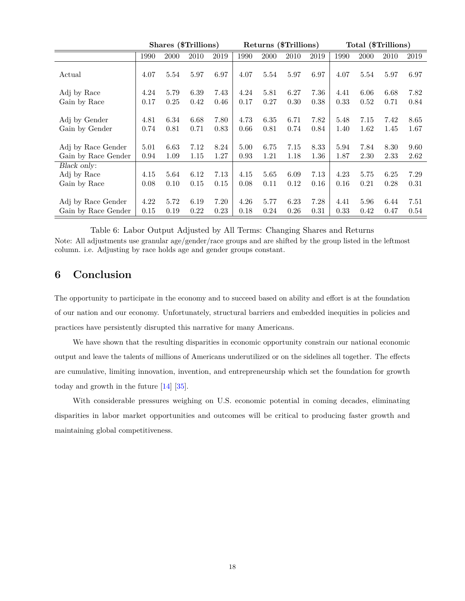<span id="page-18-1"></span>

|                                            |              | Shares (\$Trillions) |              |              |              |              | Returns (\$Trillions) |              |              | Total (\$Trillions) |              |              |
|--------------------------------------------|--------------|----------------------|--------------|--------------|--------------|--------------|-----------------------|--------------|--------------|---------------------|--------------|--------------|
|                                            | 1990         | 2000                 | 2010         | 2019         | 1990         | 2000         | 2010                  | 2019         | 1990         | 2000                | 2010         | 2019         |
| Actual                                     | 4.07         | 5.54                 | 5.97         | 6.97         | 4.07         | 5.54         | 5.97                  | 6.97         | 4.07         | 5.54                | 5.97         | 6.97         |
| Adj by Race                                | 4.24         | 5.79                 | 6.39         | 7.43         | 4.24         | 5.81         | 6.27                  | 7.36         | 4.41         | 6.06                | 6.68         | 7.82         |
| Gain by Race                               | 0.17         | 0.25                 | 0.42         | 0.46         | 0.17         | 0.27         | 0.30                  | 0.38         | 0.33         | 0.52                | 0.71         | 0.84         |
| Adj by Gender<br>Gain by Gender            | 4.81<br>0.74 | 6.34<br>0.81         | 6.68<br>0.71 | 7.80<br>0.83 | 4.73<br>0.66 | 6.35<br>0.81 | 6.71<br>0.74          | 7.82<br>0.84 | 5.48<br>1.40 | 7.15<br>1.62        | 7.42<br>1.45 | 8.65<br>1.67 |
| Adj by Race Gender<br>Gain by Race Gender  | 5.01<br>0.94 | 6.63<br>1.09         | 7.12<br>1.15 | 8.24<br>1.27 | 5.00<br>0.93 | 6.75<br>1.21 | 7.15<br>1.18          | 8.33<br>1.36 | 5.94<br>1.87 | 7.84<br>2.30        | 8.30<br>2.33 | 9.60<br>2.62 |
| Black only:<br>Adj by Race<br>Gain by Race | 4.15<br>0.08 | 5.64<br>0.10         | 6.12<br>0.15 | 7.13<br>0.15 | 4.15<br>0.08 | 5.65<br>0.11 | 6.09<br>0.12          | 7.13<br>0.16 | 4.23<br>0.16 | 5.75<br>0.21        | 6.25<br>0.28 | 7.29<br>0.31 |
| Adj by Race Gender<br>Gain by Race Gender  | 4.22<br>0.15 | 5.72<br>0.19         | 6.19<br>0.22 | 7.20<br>0.23 | 4.26<br>0.18 | 5.77<br>0.24 | 6.23<br>0.26          | 7.28<br>0.31 | 4.41<br>0.33 | 5.96<br>0.42        | 6.44<br>0.47 | 7.51<br>0.54 |

Table 6: Labor Output Adjusted by All Terms: Changing Shares and Returns Note: All adjustments use granular age/gender/race groups and are shifted by the group listed in the leftmost column. i.e. Adjusting by race holds age and gender groups constant.

# <span id="page-18-0"></span>**6 Conclusion**

The opportunity to participate in the economy and to succeed based on ability and effort is at the foundation of our nation and our economy. Unfortunately, structural barriers and embedded inequities in policies and practices have persistently disrupted this narrative for many Americans.

We have shown that the resulting disparities in economic opportunity constrain our national economic output and leave the talents of millions of Americans underutilized or on the sidelines all together. The effects are cumulative, limiting innovation, invention, and entrepreneurship which set the foundation for growth today and growth in the future [\[14\]](#page-20-0) [\[35\]](#page-21-8).

With considerable pressures weighing on U.S. economic potential in coming decades, eliminating disparities in labor market opportunities and outcomes will be critical to producing faster growth and maintaining global competitiveness.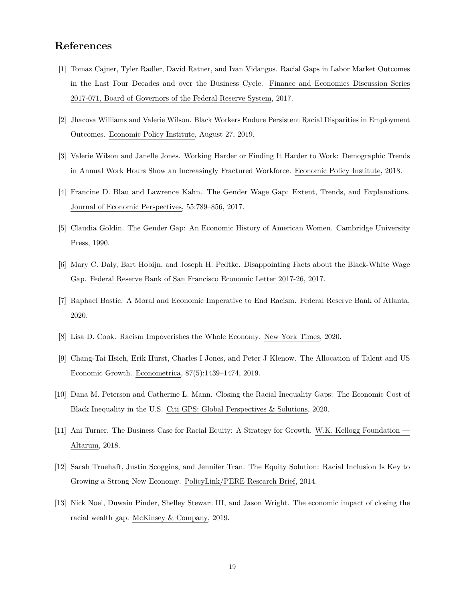# **References**

- <span id="page-19-17"></span><span id="page-19-16"></span><span id="page-19-15"></span><span id="page-19-14"></span><span id="page-19-13"></span><span id="page-19-0"></span>[1] Tomaz Cajner, Tyler Radler, David Ratner, and Ivan Vidangos. Racial Gaps in Labor Market Outcomes in the Last Four Decades and over the Business Cycle. Finance and Economics Discussion Series 2017-071, Board of Governors of the Federal Reserve System, 2017.
- <span id="page-19-1"></span>[2] Jhacova Williams and Valerie Wilson. Black Workers Endure Persistent Racial Disparities in Employment Outcomes. Economic Policy Institute, August 27, 2019.
- <span id="page-19-2"></span>[3] Valerie Wilson and Janelle Jones. Working Harder or Finding It Harder to Work: Demographic Trends in Annual Work Hours Show an Increasingly Fractured Workforce. Economic Policy Institute, 2018.
- <span id="page-19-3"></span>[4] Francine D. Blau and Lawrence Kahn. The Gender Wage Gap: Extent, Trends, and Explanations. Journal of Economic Perspectives, 55:789–856, 2017.
- <span id="page-19-4"></span>[5] Claudia Goldin. The Gender Gap: An Economic History of American Women. Cambridge University Press, 1990.
- <span id="page-19-5"></span>[6] Mary C. Daly, Bart Hobijn, and Joseph H. Pedtke. Disappointing Facts about the Black-White Wage Gap. Federal Reserve Bank of San Francisco Economic Letter 2017-26, 2017.
- <span id="page-19-6"></span>[7] Raphael Bostic. A Moral and Economic Imperative to End Racism. Federal Reserve Bank of Atlanta, 2020.
- <span id="page-19-7"></span>[8] Lisa D. Cook. Racism Impoverishes the Whole Economy. New York Times, 2020.
- <span id="page-19-8"></span>[9] Chang-Tai Hsieh, Erik Hurst, Charles I Jones, and Peter J Klenow. The Allocation of Talent and US Economic Growth. Econometrica, 87(5):1439–1474, 2019.
- <span id="page-19-9"></span>[10] Dana M. Peterson and Catherine L. Mann. Closing the Racial Inequality Gaps: The Economic Cost of Black Inequality in the U.S. Citi GPS: Global Perspectives & Solutions, 2020.
- <span id="page-19-10"></span>[11] Ani Turner. The Business Case for Racial Equity: A Strategy for Growth. W.K. Kellogg Foundation — Altarum, 2018.
- <span id="page-19-11"></span>[12] Sarah Truehaft, Justin Scoggins, and Jennifer Tran. The Equity Solution: Racial Inclusion Is Key to Growing a Strong New Economy. PolicyLink/PERE Research Brief, 2014.
- <span id="page-19-12"></span>[13] Nick Noel, Duwain Pinder, Shelley Stewart III, and Jason Wright. The economic impact of closing the racial wealth gap. McKinsey & Company, 2019.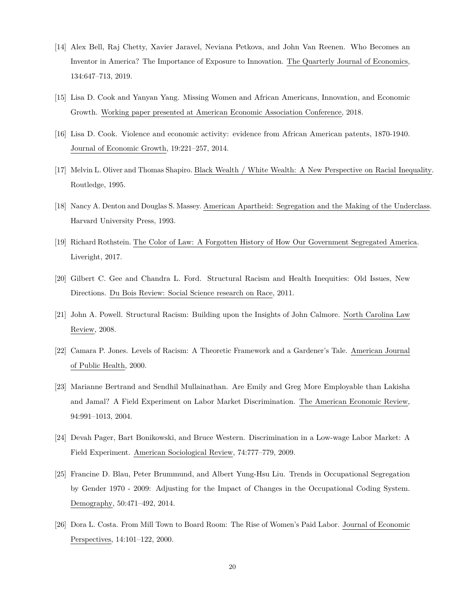- <span id="page-20-15"></span><span id="page-20-14"></span><span id="page-20-13"></span><span id="page-20-0"></span>[14] Alex Bell, Raj Chetty, Xavier Jaravel, Neviana Petkova, and John Van Reenen. Who Becomes an Inventor in America? The Importance of Exposure to Innovation. The Quarterly Journal of Economics, 134:647–713, 2019.
- <span id="page-20-1"></span>[15] Lisa D. Cook and Yanyan Yang. Missing Women and African Americans, Innovation, and Economic Growth. Working paper presented at American Economic Association Conference, 2018.
- <span id="page-20-2"></span>[16] Lisa D. Cook. Violence and economic activity: evidence from African American patents, 1870-1940. Journal of Economic Growth, 19:221–257, 2014.
- <span id="page-20-3"></span>[17] Melvin L. Oliver and Thomas Shapiro. Black Wealth / White Wealth: A New Perspective on Racial Inequality. Routledge, 1995.
- <span id="page-20-4"></span>[18] Nancy A. Denton and Douglas S. Massey. American Apartheid: Segregation and the Making of the Underclass. Harvard University Press, 1993.
- <span id="page-20-5"></span>[19] Richard Rothstein. The Color of Law: A Forgotten History of How Our Government Segregated America. Liveright, 2017.
- <span id="page-20-6"></span>[20] Gilbert C. Gee and Chandra L. Ford. Structural Racism and Health Inequities: Old Issues, New Directions. Du Bois Review: Social Science research on Race, 2011.
- <span id="page-20-7"></span>[21] John A. Powell. Structural Racism: Building upon the Insights of John Calmore. North Carolina Law Review, 2008.
- <span id="page-20-8"></span>[22] Camara P. Jones. Levels of Racism: A Theoretic Framework and a Gardener's Tale. American Journal of Public Health, 2000.
- <span id="page-20-9"></span>[23] Marianne Bertrand and Sendhil Mullainathan. Are Emily and Greg More Employable than Lakisha and Jamal? A Field Experiment on Labor Market Discrimination. The American Economic Review, 94:991–1013, 2004.
- <span id="page-20-10"></span>[24] Devah Pager, Bart Bonikowski, and Bruce Western. Discrimination in a Low-wage Labor Market: A Field Experiment. American Sociological Review, 74:777–779, 2009.
- <span id="page-20-11"></span>[25] Francine D. Blau, Peter Brummund, and Albert Yung-Hsu Liu. Trends in Occupational Segregation by Gender 1970 - 2009: Adjusting for the Impact of Changes in the Occupational Coding System. Demography, 50:471–492, 2014.
- <span id="page-20-12"></span>[26] Dora L. Costa. From Mill Town to Board Room: The Rise of Women's Paid Labor. Journal of Economic Perspectives, 14:101–122, 2000.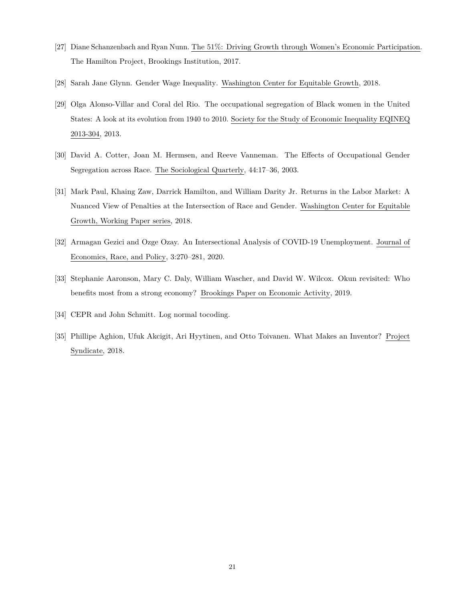- <span id="page-21-0"></span>[27] Diane Schanzenbach and Ryan Nunn. The 51%: Driving Growth through Women's Economic Participation. The Hamilton Project, Brookings Institution, 2017.
- <span id="page-21-1"></span>[28] Sarah Jane Glynn. Gender Wage Inequality. Washington Center for Equitable Growth, 2018.
- <span id="page-21-2"></span>[29] Olga Alonso-Villar and Coral del Rio. The occupational segregation of Black women in the United States: A look at its evolution from 1940 to 2010. Society for the Study of Economic Inequality EQINEQ 2013-304, 2013.
- <span id="page-21-3"></span>[30] David A. Cotter, Joan M. Hermsen, and Reeve Vanneman. The Effects of Occupational Gender Segregation across Race. The Sociological Quarterly, 44:17–36, 2003.
- <span id="page-21-4"></span>[31] Mark Paul, Khaing Zaw, Darrick Hamilton, and William Darity Jr. Returns in the Labor Market: A Nuanced View of Penalties at the Intersection of Race and Gender. Washington Center for Equitable Growth, Working Paper series, 2018.
- <span id="page-21-5"></span>[32] Armagan Gezici and Ozge Ozay. An Intersectional Analysis of COVID-19 Unemployment. Journal of Economics, Race, and Policy, 3:270–281, 2020.
- <span id="page-21-6"></span>[33] Stephanie Aaronson, Mary C. Daly, William Wascher, and David W. Wilcox. Okun revisited: Who benefits most from a strong economy? Brookings Paper on Economic Activity, 2019.
- <span id="page-21-7"></span>[34] CEPR and John Schmitt. Log normal tocoding.
- <span id="page-21-8"></span>[35] Phillipe Aghion, Ufuk Akcigit, Ari Hyytinen, and Otto Toivanen. What Makes an Inventor? Project Syndicate, 2018.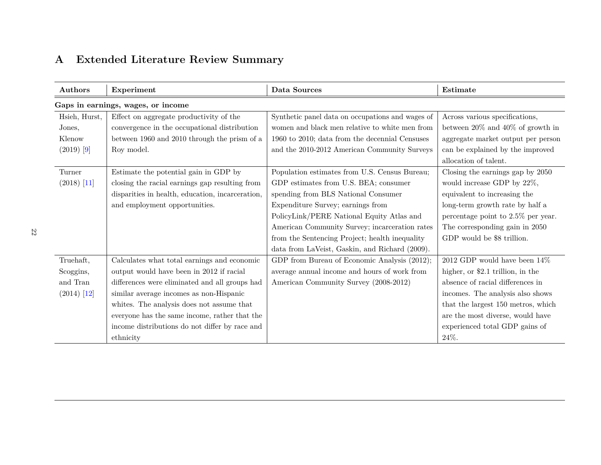# **A Extended Literature Review Summary**

<span id="page-22-0"></span>

| Authors       | Experiment                                       | Data Sources                                     | Estimate                               |
|---------------|--------------------------------------------------|--------------------------------------------------|----------------------------------------|
|               | Gaps in earnings, wages, or income               |                                                  |                                        |
| Hsieh, Hurst, | Effect on aggregate productivity of the          | Synthetic panel data on occupations and wages of | Across various specifications,         |
| Jones,        | convergence in the occupational distribution     | women and black men relative to white men from   | between $20\%$ and $40\%$ of growth in |
| Klenow        | between 1960 and 2010 through the prism of a     | 1960 to 2010; data from the decennial Censuses   | aggregate market output per person     |
| $(2019)$ [9]  | Roy model.                                       | and the 2010-2012 American Community Surveys     | can be explained by the improved       |
|               |                                                  |                                                  | allocation of talent.                  |
| Turner        | Estimate the potential gain in GDP by            | Population estimates from U.S. Census Bureau;    | Closing the earnings gap by 2050       |
| $(2018)$ [11] | closing the racial earnings gap resulting from   | GDP estimates from U.S. BEA; consumer            | would increase GDP by 22%,             |
|               | disparities in health, education, incarceration, | spending from BLS National Consumer              | equivalent to increasing the           |
|               | and employment opportunities.                    | Expenditure Survey; earnings from                | long-term growth rate by half a        |
|               |                                                  | PolicyLink/PERE National Equity Atlas and        | percentage point to $2.5\%$ per year.  |
|               |                                                  | American Community Survey; incarceration rates   | The corresponding gain in 2050         |
|               |                                                  | from the Sentencing Project; health inequality   | GDP would be \$8 trillion.             |
|               |                                                  | data from LaVeist, Gaskin, and Richard (2009).   |                                        |
| Truehaft,     | Calculates what total earnings and economic      | GDP from Bureau of Economic Analysis (2012);     | 2012 GDP would have been $14\%$        |
| Scoggins,     | output would have been in 2012 if racial         | average annual income and hours of work from     | higher, or \$2.1 trillion, in the      |
| and Tran      | differences were eliminated and all groups had   | American Community Survey (2008-2012)            | absence of racial differences in       |
| $(2014)$ [12] | similar average incomes as non-Hispanic          |                                                  | incomes. The analysis also shows       |
|               | whites. The analysis does not assume that        |                                                  | that the largest 150 metros, which     |
|               | everyone has the same income, rather that the    |                                                  | are the most diverse, would have       |
|               | income distributions do not differ by race and   |                                                  | experienced total GDP gains of         |
|               | ethnicity                                        |                                                  | 24%.                                   |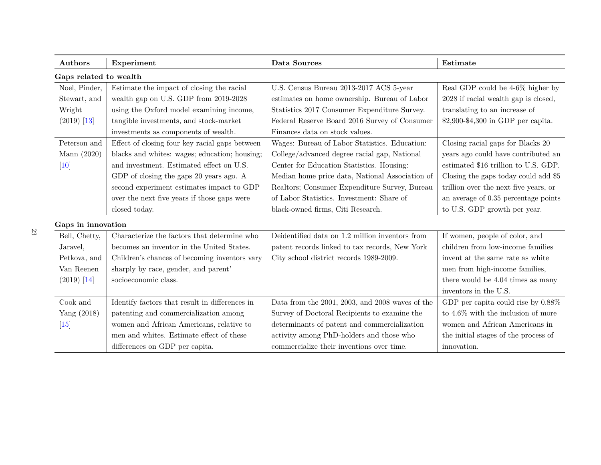| Authors                | Experiment                                     | Data Sources                                    | Estimate                              |
|------------------------|------------------------------------------------|-------------------------------------------------|---------------------------------------|
| Gaps related to wealth |                                                |                                                 |                                       |
| Noel, Pinder,          | Estimate the impact of closing the racial      | U.S. Census Bureau 2013-2017 ACS 5-year         | Real GDP could be 4-6% higher by      |
| Stewart, and           | wealth gap on U.S. GDP from 2019-2028          | estimates on home ownership. Bureau of Labor    | 2028 if racial wealth gap is closed,  |
| Wright                 | using the Oxford model examining income,       | Statistics 2017 Consumer Expenditure Survey.    | translating to an increase of         |
| $(2019)$ [13]          | tangible investments, and stock-market         | Federal Reserve Board 2016 Survey of Consumer   | \$2,900-\$4,300 in GDP per capita.    |
|                        | investments as components of wealth.           | Finances data on stock values.                  |                                       |
| Peterson and           | Effect of closing four key racial gaps between | Wages: Bureau of Labor Statistics. Education:   | Closing racial gaps for Blacks 20     |
| Mann (2020)            | blacks and whites: wages; education; housing;  | College/advanced degree racial gap, National    | years ago could have contributed an   |
| $[10]$                 | and investment. Estimated effect on U.S.       | Center for Education Statistics. Housing:       | estimated \$16 trillion to U.S. GDP.  |
|                        | GDP of closing the gaps 20 years ago. A        | Median home price data, National Association of | Closing the gaps today could add \$5  |
|                        | second experiment estimates impact to GDP      | Realtors; Consumer Expenditure Survey, Bureau   | trillion over the next five years, or |
|                        | over the next five years if those gaps were    | of Labor Statistics. Investment: Share of       | an average of 0.35 percentage points  |
|                        | closed today.                                  | black-owned firms, Citi Research.               | to U.S. GDP growth per year.          |
| Gaps in innovation     |                                                |                                                 |                                       |
| Bell, Chetty,          | Characterize the factors that determine who    | Deidentified data on 1.2 million inventors from | If women, people of color, and        |
| Jaravel,               | becomes an inventor in the United States.      | patent records linked to tax records, New York  | children from low-income families     |
| Petkova, and           | Children's chances of becoming inventors vary  | City school district records 1989-2009.         | invent at the same rate as white      |
| Van Reenen             | sharply by race, gender, and parent'           |                                                 | men from high-income families,        |
| $(2019)$ [14]          | socioeconomic class.                           |                                                 | there would be 4.04 times as many     |
|                        |                                                |                                                 | inventors in the U.S.                 |
| Cook and               | Identify factors that result in differences in | Data from the 2001, 2003, and 2008 waves of the | GDP per capita could rise by $0.88\%$ |
| Yang $(2018)$          | patenting and commercialization among          | Survey of Doctoral Recipients to examine the    | to $4.6\%$ with the inclusion of more |
| $[15]$                 | women and African Americans, relative to       | determinants of patent and commercialization    | women and African Americans in        |
|                        | men and whites. Estimate effect of these       | activity among PhD-holders and those who        | the initial stages of the process of  |
|                        | differences on GDP per capita.                 | commercialize their inventions over time.       | innovation.                           |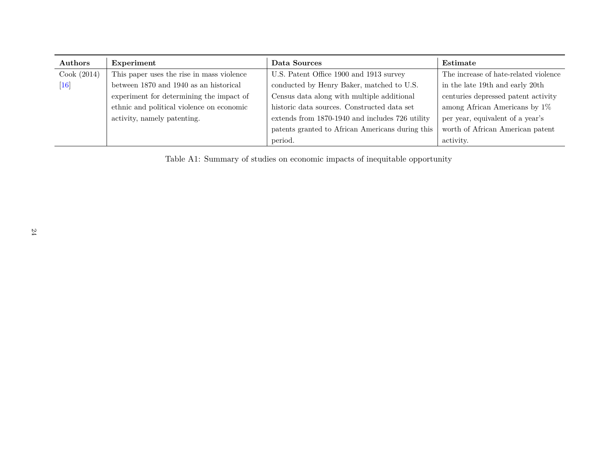| Authors          | Experiment                                | Data Sources                                     | Estimate                              |
|------------------|-------------------------------------------|--------------------------------------------------|---------------------------------------|
| Cook (2014)      | This paper uses the rise in mass violence | U.S. Patent Office 1900 and 1913 survey          | The increase of hate-related violence |
| $\vert 16 \vert$ | between 1870 and 1940 as an historical    | conducted by Henry Baker, matched to U.S.        | in the late 19th and early 20th       |
|                  | experiment for determining the impact of  | Census data along with multiple additional       | centuries depressed patent activity   |
|                  | ethnic and political violence on economic | historic data sources. Constructed data set      | among African Americans by $1\%$      |
|                  | activity, namely patenting.               | extends from 1870-1940 and includes 726 utility  | per year, equivalent of a year's      |
|                  |                                           | patents granted to African Americans during this | worth of African American patent      |
|                  |                                           | period.                                          | activity.                             |

Table A1: Summary of studies on economic impacts of inequitable opportunity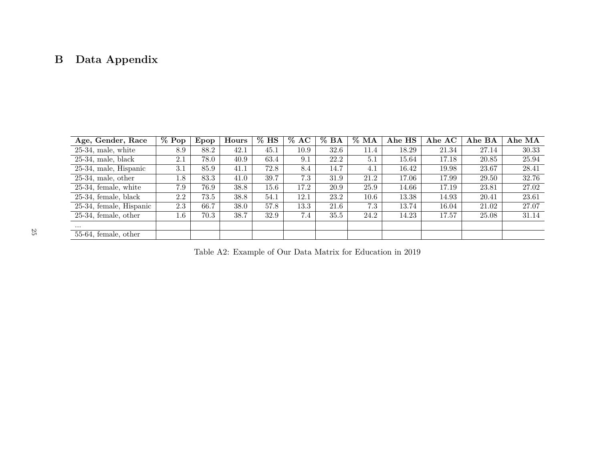# **B Data Appendix**

| Age, Gender, Race       | $%$ Pop | Epop | Hours | $%$ HS | $\%$ AC | $\%$ BA | $\%$ MA | Ahe HS | Ahe AC | Ahe BA | Ahe MA |
|-------------------------|---------|------|-------|--------|---------|---------|---------|--------|--------|--------|--------|
| $25-34$ , male, white   | 8.9     | 88.2 | 42.1  | 45.1   | 10.9    | 32.6    | 11.4    | 18.29  | 21.34  | 27.14  | 30.33  |
| $25-34$ , male, black   | 2.1     | 78.0 | 40.9  | 63.4   | 9.1     | 22.2    | 5.1     | 15.64  | 17.18  | 20.85  | 25.94  |
| 25-34, male, Hispanic   | 3.1     | 85.9 | 41.1  | 72.8   | 8.4     | 14.7    | 4.1     | 16.42  | 19.98  | 23.67  | 28.41  |
| $25-34$ , male, other   | 1.8     | 83.3 | 41.0  | 39.7   | 7.3     | 31.9    | 21.2    | 17.06  | 17.99  | 29.50  | 32.76  |
| $25-34$ , female, white | 7.9     | 76.9 | 38.8  | 15.6   | 17.2    | 20.9    | 25.9    | 14.66  | 17.19  | 23.81  | 27.02  |
| $25-34$ , female, black | 2.2     | 73.5 | 38.8  | 54.1   | 12.1    | 23.2    | 10.6    | 13.38  | 14.93  | 20.41  | 23.61  |
| 25-34, female, Hispanic | 2.3     | 66.7 | 38.0  | 57.8   | 13.3    | 21.6    | 7.3     | 13.74  | 16.04  | 21.02  | 27.07  |
| $25-34$ , female, other | $1.6\,$ | 70.3 | 38.7  | 32.9   | 7.4     | 35.5    | 24.2    | 14.23  | 17.57  | 25.08  | 31.14  |
| $\cdots$                |         |      |       |        |         |         |         |        |        |        |        |
| 55-64, female, other    |         |      |       |        |         |         |         |        |        |        |        |

<span id="page-25-1"></span><span id="page-25-0"></span>Table A2: Example of Our Data Matrix for Education in 2019